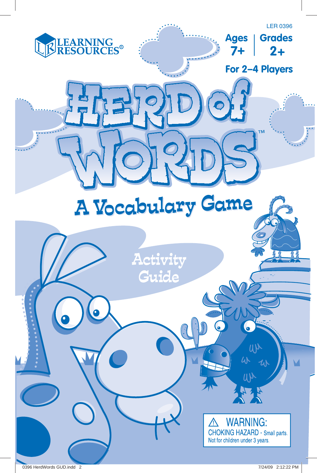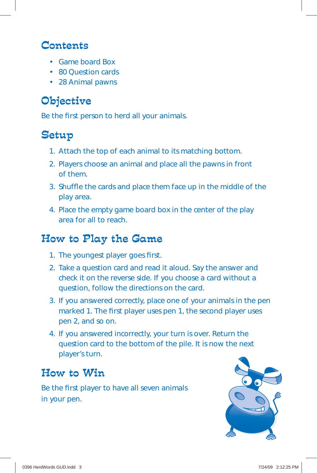#### Contents

- Game board Box
- 80 Question cards
- 28 Animal pawns

# Objective

Be the first person to herd all your animals.

### Setup

- 1. Attach the top of each animal to its matching bottom.
- 2. Players choose an animal and place all the pawns in front of them.
- 3. Shuffle the cards and place them face up in the middle of the play area.
- 4. Place the empty game board box in the center of the play area for all to reach.

## How to Play the Game

- 1. The youngest player goes first.
- 2. Take a question card and read it aloud. Say the answer and check it on the reverse side. If you choose a card without a question, follow the directions on the card.
- 3. If you answered correctly, place one of your animals in the pen marked 1. The first player uses pen 1, the second player uses pen *2,* and so on.
- 4. If you answered incorrectly, your turn is over. Return the question card to the bottom of the pile. It is now the next player's turn.

# How to Win

Be the first player to have all seven animals in your pen.

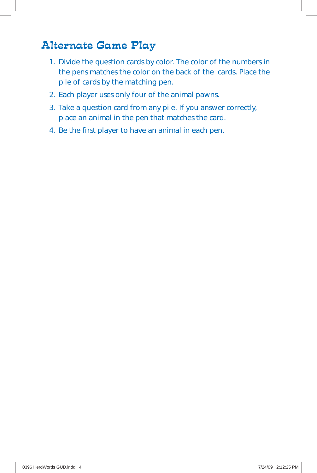### Alternate Game Play

- 1. Divide the question cards by color. The color of the numbers in the pens matches the color on the back of the cards. Place the pile of cards by the matching pen.
- 2. Each player uses only four of the animal pawns.
- 3. Take a question card from any pile. If you answer correctly, place an animal in the pen that matches the card.
- 4. Be the first player to have an animal in each pen.